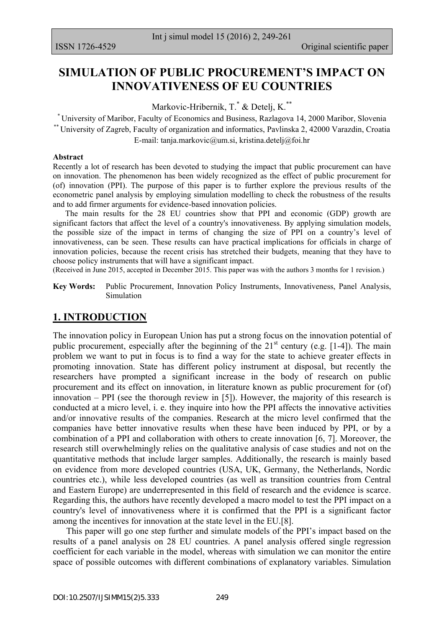# **SIMULATION OF PUBLIC PROCUREMENT'S IMPACT ON INNOVATIVENESS OF EU COUNTRIES**

Markovic-Hribernik, T.\* & Detelj, K.\*\*

\* University of Maribor, Faculty of Economics and Business, Razlagova 14, 2000 Maribor, Slovenia \*\* University of Zagreb, Faculty of organization and informatics, Pavlinska 2, 42000 Varazdin, Croatia E-mail: [tanja.markovic@um.si,](mailto:tanja.markovic@um.si) [kristina.detelj@foi.hr](mailto:kristina.detelj@foi.hr)

#### **Abstract**

Recently a lot of research has been devoted to studying the impact that public procurement can have on innovation. The phenomenon has been widely recognized as the effect of public procurement for (of) innovation (PPI). The purpose of this paper is to further explore the previous results of the econometric panel analysis by employing simulation modelling to check the robustness of the results and to add firmer arguments for evidence-based innovation policies.

 The main results for the 28 EU countries show that PPI and economic (GDP) growth are significant factors that affect the level of a country's innovativeness. By applying simulation models, the possible size of the impact in terms of changing the size of PPI on a country's level of innovativeness, can be seen. These results can have practical implications for officials in charge of innovation policies, because the recent crisis has stretched their budgets, meaning that they have to choose policy instruments that will have a significant impact.

(Received in June 2015, accepted in December 2015. This paper was with the authors 3 months for 1 revision.)

**Key Words:** Public Procurement, Innovation Policy Instruments, Innovativeness, Panel Analysis, Simulation

## **1. INTRODUCTION**

The innovation policy in European Union has put a strong focus on the innovation potential of public procurement, especially after the beginning of the  $21<sup>st</sup>$  century (e.g. [1-4]). The main problem we want to put in focus is to find a way for the state to achieve greater effects in promoting innovation. State has different policy instrument at disposal, but recently the researchers have prompted a significant increase in the body of research on public procurement and its effect on innovation, in literature known as public procurement for (of) innovation – PPI (see the thorough review in [5]). However, the majority of this research is conducted at a micro level, i. e. they inquire into how the PPI affects the innovative activities and/or innovative results of the companies. Research at the micro level confirmed that the companies have better innovative results when these have been induced by PPI, or by a combination of a PPI and collaboration with others to create innovation [6, 7]. Moreover, the research still overwhelmingly relies on the qualitative analysis of case studies and not on the quantitative methods that include larger samples. Additionally, the research is mainly based on evidence from more developed countries (USA, UK, Germany, the Netherlands, Nordic countries etc.), while less developed countries (as well as transition countries from Central and Eastern Europe) are underrepresented in this field of research and the evidence is scarce. Regarding this, the authors have recently developed a macro model to test the PPI impact on a country's level of innovativeness where it is confirmed that the PPI is a significant factor among the incentives for innovation at the state level in the EU.[8].

 This paper will go one step further and simulate models of the PPI's impact based on the results of a panel analysis on 28 EU countries. A panel analysis offered single regression coefficient for each variable in the model, whereas with simulation we can monitor the entire space of possible outcomes with different combinations of explanatory variables. Simulation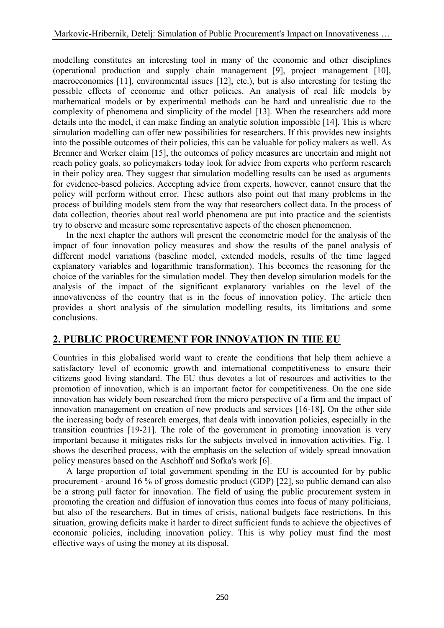modelling constitutes an interesting tool in many of the economic and other disciplines (operational production and supply chain management [9], project management [10], macroeconomics [11], environmental issues [12], etc.), but is also interesting for testing the possible effects of economic and other policies. An analysis of real life models by mathematical models or by experimental methods can be hard and unrealistic due to the complexity of phenomena and simplicity of the model [13]. When the researchers add more details into the model, it can make finding an analytic solution impossible [14]. This is where simulation modelling can offer new possibilities for researchers. If this provides new insights into the possible outcomes of their policies, this can be valuable for policy makers as well. As Brenner and Werker claim [15], the outcomes of policy measures are uncertain and might not reach policy goals, so policymakers today look for advice from experts who perform research in their policy area. They suggest that simulation modelling results can be used as arguments for evidence-based policies. Accepting advice from experts, however, cannot ensure that the policy will perform without error. These authors also point out that many problems in the process of building models stem from the way that researchers collect data. In the process of data collection, theories about real world phenomena are put into practice and the scientists try to observe and measure some representative aspects of the chosen phenomenon.

 In the next chapter the authors will present the econometric model for the analysis of the impact of four innovation policy measures and show the results of the panel analysis of different model variations (baseline model, extended models, results of the time lagged explanatory variables and logarithmic transformation). This becomes the reasoning for the choice of the variables for the simulation model. They then develop simulation models for the analysis of the impact of the significant explanatory variables on the level of the innovativeness of the country that is in the focus of innovation policy. The article then provides a short analysis of the simulation modelling results, its limitations and some conclusions.

## **2. PUBLIC PROCUREMENT FOR INNOVATION IN THE EU**

Countries in this globalised world want to create the conditions that help them achieve a satisfactory level of economic growth and international competitiveness to ensure their citizens good living standard. The EU thus devotes a lot of resources and activities to the promotion of innovation, which is an important factor for competitiveness. On the one side innovation has widely been researched from the micro perspective of a firm and the impact of innovation management on creation of new products and services [16-18]. On the other side the increasing body of research emerges, that deals with innovation policies, especially in the transition countries [19-21]. The role of the government in promoting innovation is very important because it mitigates risks for the subjects involved in innovation activities. Fig. 1 shows the described process, with the emphasis on the selection of widely spread innovation policy measures based on the Aschhoff and Sofka's work [6].

 A large proportion of total government spending in the EU is accounted for by public procurement - around 16 % of gross domestic product (GDP) [22], so public demand can also be a strong pull factor for innovation. The field of using the public procurement system in promoting the creation and diffusion of innovation thus comes into focus of many politicians, but also of the researchers. But in times of crisis, national budgets face restrictions. In this situation, growing deficits make it harder to direct sufficient funds to achieve the objectives of economic policies, including innovation policy. This is why policy must find the most effective ways of using the money at its disposal.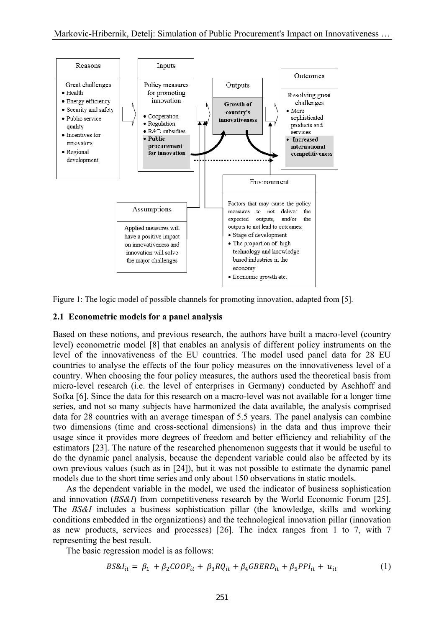

Figure 1: The logic model of possible channels for promoting innovation, adapted from [5].

#### **2.1 Econometric models for a panel analysis**

Based on these notions, and previous research, the authors have built a macro-level (country level) econometric model [8] that enables an analysis of different policy instruments on the level of the innovativeness of the EU countries. The model used panel data for 28 EU countries to analyse the effects of the four policy measures on the innovativeness level of a country. When choosing the four policy measures, the authors used the theoretical basis from micro-level research (i.e. the level of enterprises in Germany) conducted by Aschhoff and Sofka [6]. Since the data for this research on a macro-level was not available for a longer time series, and not so many subjects have harmonized the data available, the analysis comprised data for 28 countries with an average timespan of 5.5 years. The panel analysis can combine two dimensions (time and cross-sectional dimensions) in the data and thus improve their usage since it provides more degrees of freedom and better efficiency and reliability of the estimators [23]. The nature of the researched phenomenon suggests that it would be useful to do the dynamic panel analysis, because the dependent variable could also be affected by its own previous values (such as in [24]), but it was not possible to estimate the dynamic panel models due to the short time series and only about 150 observations in static models.

 As the dependent variable in the model, we used the indicator of business sophistication and innovation (*BS&I*) from competitiveness research by the World Economic Forum [25]. The *BS&I* includes a business sophistication pillar (the knowledge, skills and working conditions embedded in the organizations) and the technological innovation pillar (innovation as new products, services and processes) [26]. The index ranges from 1 to 7, with 7 representing the best result.

The basic regression model is as follows:

$$
BS\&I_{it} = \beta_1 + \beta_2 COOP_{it} + \beta_3 RQ_{it} + \beta_4 GBERD_{it} + \beta_5 PPI_{it} + u_{it}
$$
 (1)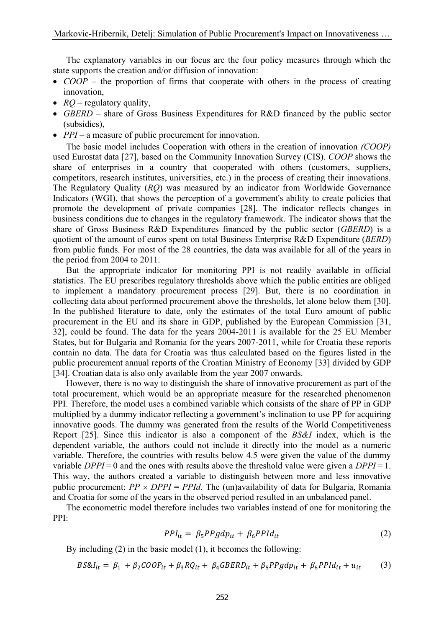The explanatory variables in our focus are the four policy measures through which the state supports the creation and/or diffusion of innovation:

- *COOP* the proportion of firms that cooperate with others in the process of creating innovation,
- *RQ* regulatory quality,
- *GBERD* share of Gross Business Expenditures for R&D financed by the public sector (subsidies),
- *PPI* a measure of public procurement for innovation.

 The basic model includes Cooperation with others in the creation of innovation *(COOP)* used Eurostat data [27], based on the Community Innovation Survey (CIS). *COOP* shows the share of enterprises in a country that cooperated with others (customers, suppliers, competitors, research institutes, universities, etc.) in the process of creating their innovations. The Regulatory Quality (*RQ*) was measured by an indicator from Worldwide Governance Indicators (WGI), that shows the perception of a government's ability to create policies that promote the development of private companies [28]. The indicator reflects changes in business conditions due to changes in the regulatory framework. The indicator shows that the share of Gross Business R&D Expenditures financed by the public sector (*GBERD*) is a quotient of the amount of euros spent on total Business Enterprise R&D Expenditure (*BERD*) from public funds. For most of the 28 countries, the data was available for all of the years in the period from 2004 to 2011.

 But the appropriate indicator for monitoring PPI is not readily available in official statistics. The EU prescribes regulatory thresholds above which the public entities are obliged to implement a mandatory procurement process [29]. But, there is no coordination in collecting data about performed procurement above the thresholds, let alone below them [30]. In the published literature to date, only the estimates of the total Euro amount of public procurement in the EU and its share in GDP, published by the European Commission [31, 32], could be found. The data for the years 2004-2011 is available for the 25 EU Member States, but for Bulgaria and Romania for the years 2007-2011, while for Croatia these reports contain no data. The data for Croatia was thus calculated based on the figures listed in the public procurement annual reports of the Croatian Ministry of Economy [33] divided by GDP [34]. Croatian data is also only available from the year 2007 onwards.

 However, there is no way to distinguish the share of innovative procurement as part of the total procurement, which would be an appropriate measure for the researched phenomenon PPI. Therefore, the model uses a combined variable which consists of the share of PP in GDP multiplied by a dummy indicator reflecting a government's inclination to use PP for acquiring innovative goods. The dummy was generated from the results of the World Competitiveness Report [25]. Since this indicator is also a component of the *BS&I* index, which is the dependent variable, the authors could not include it directly into the model as a numeric variable. Therefore, the countries with results below 4.5 were given the value of the dummy variable *DPPI* = 0 and the ones with results above the threshold value were given a *DPPI* = 1. This way, the authors created a variable to distinguish between more and less innovative public procurement:  $PP \times DPPI = PPId$ . The (un)availability of data for Bulgaria, Romania and Croatia for some of the years in the observed period resulted in an unbalanced panel.

 The econometric model therefore includes two variables instead of one for monitoring the PPI:

$$
PPI_{it} = \beta_5 PPgdp_{it} + \beta_6 PPId_{it}
$$
 (2)

By including (2) in the basic model (1), it becomes the following:

$$
BS\&I_{it} = \beta_1 + \beta_2 COOP_{it} + \beta_3 RQ_{it} + \beta_4 GBERD_{it} + \beta_5 PPgdp_{it} + \beta_6 PPId_{it} + u_{it}
$$
 (3)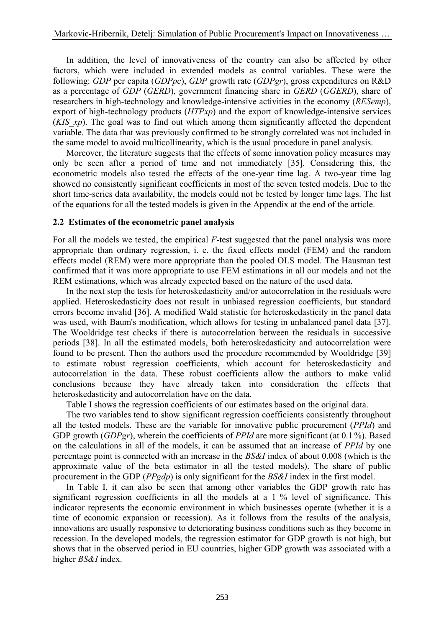In addition, the level of innovativeness of the country can also be affected by other factors, which were included in extended models as control variables. These were the following: *GDP* per capita (*GDPpc*), *GDP* growth rate (*GDPgr*), gross expenditures on R&D as a percentage of *GDP* (*GERD*), government financing share in *GERD* (*GGERD*), share of researchers in high-technology and knowledge-intensive activities in the economy (*RESemp*), export of high-technology products (*HTPxp*) and the export of knowledge-intensive services (*KIS xp*). The goal was to find out which among them significantly affected the dependent variable. The data that was previously confirmed to be strongly correlated was not included in the same model to avoid multicollinearity, which is the usual procedure in panel analysis.

 Moreover, the literature suggests that the effects of some innovation policy measures may only be seen after a period of time and not immediately [35]. Considering this, the econometric models also tested the effects of the one-year time lag. A two-year time lag showed no consistently significant coefficients in most of the seven tested models. Due to the short time-series data availability, the models could not be tested by longer time lags. The list of the equations for all the tested models is given in the Appendix at the end of the article.

### **2.2 Estimates of the econometric panel analysis**

For all the models we tested, the empirical *F*-test suggested that the panel analysis was more appropriate than ordinary regression, i. e. the fixed effects model (FEM) and the random effects model (REM) were more appropriate than the pooled OLS model. The Hausman test confirmed that it was more appropriate to use FEM estimations in all our models and not the REM estimations, which was already expected based on the nature of the used data.

 In the next step the tests for heteroskedasticity and/or autocorrelation in the residuals were applied. Heteroskedasticity does not result in unbiased regression coefficients, but standard errors become invalid [36]. A modified Wald statistic for heteroskedasticity in the panel data was used, with Baum's modification, which allows for testing in unbalanced panel data [37]. The Wooldridge test checks if there is autocorrelation between the residuals in successive periods [38]. In all the estimated models, both heteroskedasticity and autocorrelation were found to be present. Then the authors used the procedure recommended by Wooldridge [39] to estimate robust regression coefficients, which account for heteroskedasticity and autocorrelation in the data. These robust coefficients allow the authors to make valid conclusions because they have already taken into consideration the effects that heteroskedasticity and autocorrelation have on the data.

Table I shows the regression coefficients of our estimates based on the original data.

 The two variables tend to show significant regression coefficients consistently throughout all the tested models. These are the variable for innovative public procurement (*PPId*) and GDP growth (*GDPgr*), wherein the coefficients of *PPId* are more significant (at 0.1 %). Based on the calculations in all of the models, it can be assumed that an increase of *PPId* by one percentage point is connected with an increase in the *BS&I* index of about 0.008 (which is the approximate value of the beta estimator in all the tested models). The share of public procurement in the GDP (*PPgdp*) is only significant for the *BS&I* index in the first model.

 In Table I, it can also be seen that among other variables the GDP growth rate has significant regression coefficients in all the models at a 1 % level of significance. This indicator represents the economic environment in which businesses operate (whether it is a time of economic expansion or recession). As it follows from the results of the analysis, innovations are usually responsive to deteriorating business conditions such as they become in recession. In the developed models, the regression estimator for GDP growth is not high, but shows that in the observed period in EU countries, higher GDP growth was associated with a higher *BS&I* index.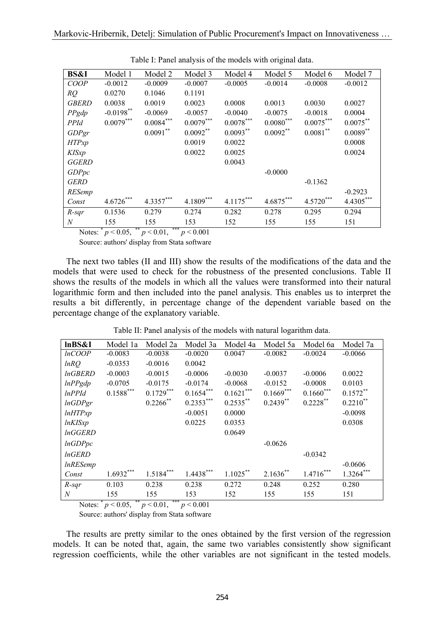| <b>BS&amp;I</b> | Model 1      | Model 2     | Model 3     | Model 4     | Model 5     | Model 6     | Model 7     |
|-----------------|--------------|-------------|-------------|-------------|-------------|-------------|-------------|
| COOP            | $-0.0012$    | $-0.0009$   | $-0.0007$   | $-0.0005$   | $-0.0014$   | $-0.0008$   | $-0.0012$   |
| RO              | 0.0270       | 0.1046      | 0.1191      |             |             |             |             |
| <b>GBERD</b>    | 0.0038       | 0.0019      | 0.0023      | 0.0008      | 0.0013      | 0.0030      | 0.0027      |
| PPgdp           | $-0.0198$ ** | $-0.0069$   | $-0.0057$   | $-0.0040$   | $-0.0075$   | $-0.0018$   | 0.0004      |
| <b>PPId</b>     | $0.0079***$  | $0.0084***$ | $0.0079***$ | $0.0078***$ | $0.0080***$ | $0.0075***$ | $0.0075***$ |
| GDPgr           |              | $0.0091***$ | $0.0092**$  | $0.0093***$ | $0.0092**$  | $0.0081***$ | $0.0089**$  |
| <b>HTPxp</b>    |              |             | 0.0019      | 0.0022      |             |             | 0.0008      |
| <b>KISxp</b>    |              |             | 0.0022      | 0.0025      |             |             | 0.0024      |
| <b>GGERD</b>    |              |             |             | 0.0043      |             |             |             |
| <b>GDPpc</b>    |              |             |             |             | $-0.0000$   |             |             |
| <b>GERD</b>     |              |             |             |             |             | $-0.1362$   |             |
| <b>RESemp</b>   |              |             |             |             |             |             | $-0.2923$   |
| Const           | $4.6726***$  | $4.3357***$ | $4.1809***$ | $4.1175***$ | $4.6875***$ | $4.5720***$ | 4.4305***   |
| $R$ -sqr        | 0.1536       | 0.279       | 0.274       | 0.282       | 0.278       | 0.295       | 0.294       |
| $\overline{N}$  | 155          | 155         | 153         | 152         | 155         | 155         | 151         |

Table I: Panel analysis of the models with original data.

Notes:  $p < 0.05$ ,  $p < 0.01$ ,  $p < 0.001$ 

Source: authors' display from Stata software

 The next two tables (II and III) show the results of the modifications of the data and the models that were used to check for the robustness of the presented conclusions. Table II shows the results of the models in which all the values were transformed into their natural logarithmic form and then included into the panel analysis. This enables us to interpret the results a bit differently, in percentage change of the dependent variable based on the percentage change of the explanatory variable.

Table II: Panel analysis of the models with natural logarithm data.

| lnBS&I          | Model 1a       | Model 2a    | Model 3a    | Model 4a    | Model 5a    | Model 6a    | Model 7a    |
|-----------------|----------------|-------------|-------------|-------------|-------------|-------------|-------------|
| <i>lnCOOP</i>   | $-0.0083$      | $-0.0038$   | $-0.0020$   | 0.0047      | $-0.0082$   | $-0.0024$   | $-0.0066$   |
| lnRO            | $-0.0353$      | $-0.0016$   | 0.0042      |             |             |             |             |
| <i>InGBERD</i>  | $-0.0003$      | $-0.0015$   | $-0.0006$   | $-0.0030$   | $-0.0037$   | $-0.0006$   | 0.0022      |
| lnPPgdp         | $-0.0705$      | $-0.0175$   | $-0.0174$   | $-0.0068$   | $-0.0152$   | $-0.0008$   | 0.0103      |
| lnPPId          | $0.1588^{***}$ | $0.1729***$ | $0.1654***$ | $0.1621***$ | $0.1669***$ | $0.1660***$ | $0.1572**$  |
| lnGDPgr         |                | $0.2266$ ** | $0.2353***$ | $0.2535***$ | $0.2439**$  | $0.2228$ ** | $0.2210**$  |
| lnHTPxp         |                |             | $-0.0051$   | 0.0000      |             |             | $-0.0098$   |
| <i>lnKISxp</i>  |                |             | 0.0225      | 0.0353      |             |             | 0.0308      |
| <i>lnGGERD</i>  |                |             |             | 0.0649      |             |             |             |
| lnGDPpc         |                |             |             |             | $-0.0626$   |             |             |
| <i>lnGERD</i>   |                |             |             |             |             | $-0.0342$   |             |
| <i>lnRESemp</i> |                |             |             |             |             |             | $-0.0606$   |
| Const           | $1.6932***$    | $1.5184***$ | $1.4438***$ | $1.1025***$ | $2.1636**$  | $1.4716***$ | $1.3264***$ |
| $R$ -sqr        | 0.103          | 0.238       | 0.238       | 0.272       | 0.248       | 0.252       | 0.280       |
| N               | 155            | 155         | 153         | 152         | 155         | 155         | 151         |

Notes:  $p < 0.05$ ,  $p < 0.01$ ,  $p < 0.001$ 

Source: authors' display from Stata software

 The results are pretty similar to the ones obtained by the first version of the regression models. It can be noted that, again, the same two variables consistently show significant regression coefficients, while the other variables are not significant in the tested models.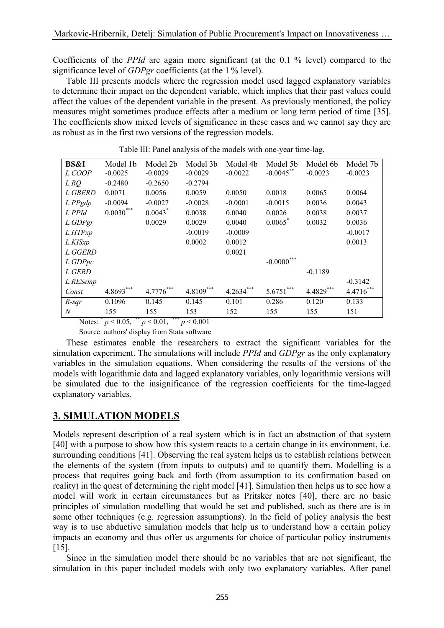Coefficients of the *PPId* are again more significant (at the 0.1 % level) compared to the significance level of *GDPgr* coefficients (at the 1 % level).

 Table III presents models where the regression model used lagged explanatory variables to determine their impact on the dependent variable, which implies that their past values could affect the values of the dependent variable in the present. As previously mentioned, the policy measures might sometimes produce effects after a medium or long term period of time [35]. The coefficients show mixed levels of significance in these cases and we cannot say they are as robust as in the first two versions of the regression models.

| <b>BS&amp;I</b>                                            | Model 1b    | Model 2b    | Model 3b    | Model 4b    | Model 5b     | Model 6b    | Model 7b    |
|------------------------------------------------------------|-------------|-------------|-------------|-------------|--------------|-------------|-------------|
| L.COOP                                                     | $-0.0025$   | $-0.0029$   | $-0.0029$   | $-0.0022$   | $-0.0045$ ** | $-0.0023$   | $-0.0023$   |
| L.RO                                                       | $-0.2480$   | $-0.2650$   | $-0.2794$   |             |              |             |             |
| L.GBERD                                                    | 0.0071      | 0.0056      | 0.0059      | 0.0050      | 0.0018       | 0.0065      | 0.0064      |
| $L$ . $PPgdp$                                              | $-0.0094$   | $-0.0027$   | $-0.0028$   | $-0.0001$   | $-0.0015$    | 0.0036      | 0.0043      |
| L.PPId                                                     | $0.0030***$ | $0.0043$ *  | 0.0038      | 0.0040      | 0.0026       | 0.0038      | 0.0037      |
| L.GDPgr                                                    |             | 0.0029      | 0.0029      | 0.0040      | 0.0065       | 0.0032      | 0.0036      |
| L.HTPxp                                                    |             |             | $-0.0019$   | $-0.0009$   |              |             | $-0.0017$   |
| L.KISxp                                                    |             |             | 0.0002      | 0.0012      |              |             | 0.0013      |
| L.GGERD                                                    |             |             |             | 0.0021      |              |             |             |
| L.GDPpc                                                    |             |             |             |             | $-0.0000$    |             |             |
| L.GERD                                                     |             |             |             |             |              | $-0.1189$   |             |
| L.RESemp                                                   |             |             |             |             |              |             | $-0.3142$   |
| Const                                                      | $4.8693***$ | $4.7776***$ | $4.8109***$ | $4.2634***$ | $5.6751***$  | $4.4829***$ | $4.4716***$ |
| $R$ -sqr                                                   | 0.1096      | 0.145       | 0.145       | 0.101       | 0.286        | 0.120       | 0.133       |
| $\overline{N}$                                             | 155         | 155         | 153         | 152         | 155          | 155         | 151         |
| ***<br>Notes: $p < 0.05$ , **<br>$p < 0.01$ ,<br>p < 0.001 |             |             |             |             |              |             |             |

Table III: Panel analysis of the models with one-year time-lag.

Source: authors' display from Stata software

 These estimates enable the researchers to extract the significant variables for the simulation experiment. The simulations will include *PPId* and *GDPgr* as the only explanatory variables in the simulation equations. When considering the results of the versions of the models with logarithmic data and lagged explanatory variables, only logarithmic versions will be simulated due to the insignificance of the regression coefficients for the time-lagged explanatory variables.

## **3. SIMULATION MODELS**

Models represent description of a real system which is in fact an abstraction of that system [40] with a purpose to show how this system reacts to a certain change in its environment, i.e. surrounding conditions [41]. Observing the real system helps us to establish relations between the elements of the system (from inputs to outputs) and to quantify them. Modelling is a process that requires going back and forth (from assumption to its confirmation based on reality) in the quest of determining the right model [41]. Simulation then helps us to see how a model will work in certain circumstances but as Pritsker notes [40], there are no basic principles of simulation modelling that would be set and published, such as there are is in some other techniques (e.g. regression assumptions). In the field of policy analysis the best way is to use abductive simulation models that help us to understand how a certain policy impacts an economy and thus offer us arguments for choice of particular policy instruments [15].

 Since in the simulation model there should be no variables that are not significant, the simulation in this paper included models with only two explanatory variables. After panel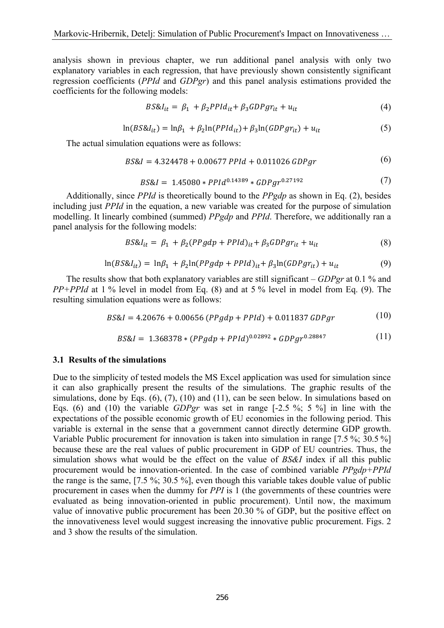analysis shown in previous chapter, we run additional panel analysis with only two explanatory variables in each regression, that have previously shown consistently significant regression coefficients (*PPId* and *GDPgr*) and this panel analysis estimations provided the coefficients for the following models:

$$
BS\&I_{it} = \beta_1 + \beta_2 PPId_{it} + \beta_3 GDPgr_{it} + u_{it}
$$
\n
$$
\tag{4}
$$

$$
\ln(BS\&I_{it}) = \ln\beta_1 + \beta_2\ln(PPId_{it}) + \beta_3\ln(GDPgr_{it}) + u_{it}
$$
\n
$$
\tag{5}
$$

The actual simulation equations were as follows:

$$
BS\&I = 4.324478 + 0.00677 \text{ PPId} + 0.011026 \text{ GDP} \tag{6}
$$

$$
BS\&I = 1.45080 * PPId^{0.14389} * GDPgr^{0.27192}
$$
 (7)

 Additionally, since *PPId* is theoretically bound to the *PPgdp* as shown in Eq. (2), besides including just *PPId* in the equation, a new variable was created for the purpose of simulation modelling. It linearly combined (summed) *PPgdp* and *PPId*. Therefore, we additionally ran a panel analysis for the following models:

$$
BS\&I_{it} = \beta_1 + \beta_2 (PPgdp + PPId)_{it} + \beta_3 GDPgr_{it} + u_{it}
$$
\n(8)

$$
\ln(BS\&I_{it}) = \ln\beta_1 + \beta_2 \ln(PPgdp + PPId)_{it} + \beta_3 \ln(GDPgr_{it}) + u_{it}
$$
\n(9)

 The results show that both explanatory variables are still significant – *GDPgr* at 0.1 % and *PP+PPId* at 1 % level in model from Eq. (8) and at 5 % level in model from Eq. (9). The resulting simulation equations were as follows:

$$
BS\&I = 4.20676 + 0.00656 \ (PPgdp + PPId) + 0.011837 \ GDPgr \tag{10}
$$

$$
BS\&I = 1.368378 * (PPgdp + PPId)^{0.02892} * GDPgr^{0.28847}
$$
 (11)

#### **3.1 Results of the simulations**

Due to the simplicity of tested models the MS Excel application was used for simulation since it can also graphically present the results of the simulations. The graphic results of the simulations, done by Eqs. (6), (7), (10) and (11), can be seen below. In simulations based on Eqs. (6) and (10) the variable *GDPgr* was set in range [-2.5 %; 5 %] in line with the expectations of the possible economic growth of EU economies in the following period. This variable is external in the sense that a government cannot directly determine GDP growth. Variable Public procurement for innovation is taken into simulation in range [7.5 %; 30.5 %] because these are the real values of public procurement in GDP of EU countries. Thus, the simulation shows what would be the effect on the value of *BS&I* index if all this public procurement would be innovation-oriented. In the case of combined variable *PPgdp+PPId* the range is the same, [7.5 %; 30.5 %], even though this variable takes double value of public procurement in cases when the dummy for *PPI* is 1 (the governments of these countries were evaluated as being innovation-oriented in public procurement). Until now, the maximum value of innovative public procurement has been 20.30 % of GDP, but the positive effect on the innovativeness level would suggest increasing the innovative public procurement. Figs. 2 and 3 show the results of the simulation.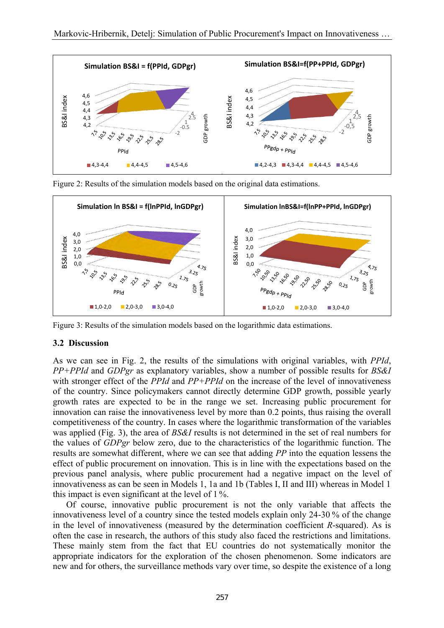

Figure 2: Results of the simulation models based on the original data estimations.



Figure 3: Results of the simulation models based on the logarithmic data estimations.

### **3.2 Discussion**

As we can see in Fig. 2, the results of the simulations with original variables, with *PPId*, *PP+PPId* and *GDPgr* as explanatory variables, show a number of possible results for *BS&I* with stronger effect of the *PPId* and *PP+PPId* on the increase of the level of innovativeness of the country. Since policymakers cannot directly determine GDP growth, possible yearly growth rates are expected to be in the range we set. Increasing public procurement for innovation can raise the innovativeness level by more than 0.2 points, thus raising the overall competitiveness of the country. In cases where the logarithmic transformation of the variables was applied (Fig. 3), the area of *BS&I* results is not determined in the set of real numbers for the values of *GDPgr* below zero, due to the characteristics of the logarithmic function. The results are somewhat different, where we can see that adding *PP* into the equation lessens the effect of public procurement on innovation. This is in line with the expectations based on the previous panel analysis, where public procurement had a negative impact on the level of innovativeness as can be seen in Models 1, 1a and 1b (Tables I, II and III) whereas in Model 1 this impact is even significant at the level of 1 %.

 Of course, innovative public procurement is not the only variable that affects the innovativeness level of a country since the tested models explain only 24-30 % of the change in the level of innovativeness (measured by the determination coefficient *R*-squared). As is often the case in research, the authors of this study also faced the restrictions and limitations. These mainly stem from the fact that EU countries do not systematically monitor the appropriate indicators for the exploration of the chosen phenomenon. Some indicators are new and for others, the surveillance methods vary over time, so despite the existence of a long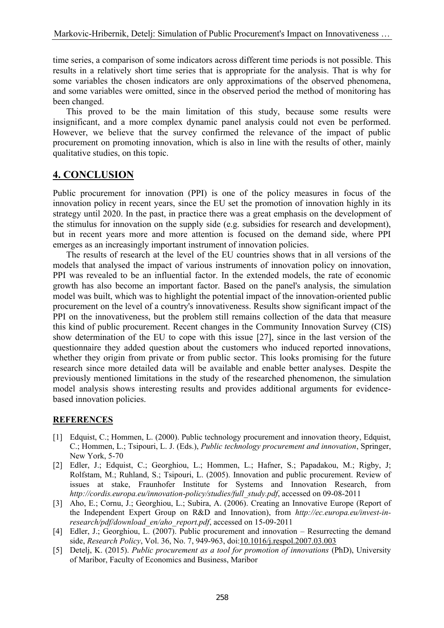time series, a comparison of some indicators across different time periods is not possible. This results in a relatively short time series that is appropriate for the analysis. That is why for some variables the chosen indicators are only approximations of the observed phenomena, and some variables were omitted, since in the observed period the method of monitoring has been changed.

 This proved to be the main limitation of this study, because some results were insignificant, and a more complex dynamic panel analysis could not even be performed. However, we believe that the survey confirmed the relevance of the impact of public procurement on promoting innovation, which is also in line with the results of other, mainly qualitative studies, on this topic.

## **4. CONCLUSION**

Public procurement for innovation (PPI) is one of the policy measures in focus of the innovation policy in recent years, since the EU set the promotion of innovation highly in its strategy until 2020. In the past, in practice there was a great emphasis on the development of the stimulus for innovation on the supply side (e.g. subsidies for research and development), but in recent years more and more attention is focused on the demand side, where PPI emerges as an increasingly important instrument of innovation policies.

 The results of research at the level of the EU countries shows that in all versions of the models that analysed the impact of various instruments of innovation policy on innovation, PPI was revealed to be an influential factor. In the extended models, the rate of economic growth has also become an important factor. Based on the panel's analysis, the simulation model was built, which was to highlight the potential impact of the innovation-oriented public procurement on the level of a country's innovativeness. Results show significant impact of the PPI on the innovativeness, but the problem still remains collection of the data that measure this kind of public procurement. Recent changes in the Community Innovation Survey (CIS) show determination of the EU to cope with this issue [27], since in the last version of the questionnaire they added question about the customers who induced reported innovations, whether they origin from private or from public sector. This looks promising for the future research since more detailed data will be available and enable better analyses. Despite the previously mentioned limitations in the study of the researched phenomenon, the simulation model analysis shows interesting results and provides additional arguments for evidencebased innovation policies.

## **REFERENCES**

- [1] Edquist, C.; Hommen, L. (2000). Public technology procurement and innovation theory, Edquist, C.; Hommen, L.; Tsipouri, L. J. (Eds.), *Public technology procurement and innovation*, Springer, New York, 5-70
- [2] Edler, J.; Edquist, C.; Georghiou, L.; Hommen, L.; Hafner, S.; Papadakou, M.; Rigby, J; Rolfstam, M.; Ruhland, S.; Tsipouri, L. (2005). Innovation and public procurement. Review of issues at stake, Fraunhofer Institute for Systems and Innovation Research, from *http://cordis.europa.eu/innovation-policy/studies/full\_study.pdf*, accessed on 09-08-2011
- [3] Aho, E.; Cornu, J.; Georghiou, L.; Subira, A. (2006). Creating an Innovative Europe (Report of the Independent Expert Group on R&D and Innovation), from *http://ec.europa.eu/invest-inresearch/pdf/download\_en/aho\_report.pdf*, accessed on 15-09-2011
- [4] Edler, J.; Georghiou, L. (2007). Public procurement and innovation Resurrecting the demand side, *Research Policy*, Vol. 36, No. 7, 949-963, doi[:10.1016/j.respol.2007.03.003](http://dx.doi.org/10.1016/j.respol.2007.03.003)
- [5] Detelj, K. (2015). *Public procurement as a tool for promotion of innovations* (PhD), University of Maribor, Faculty of Economics and Business, Maribor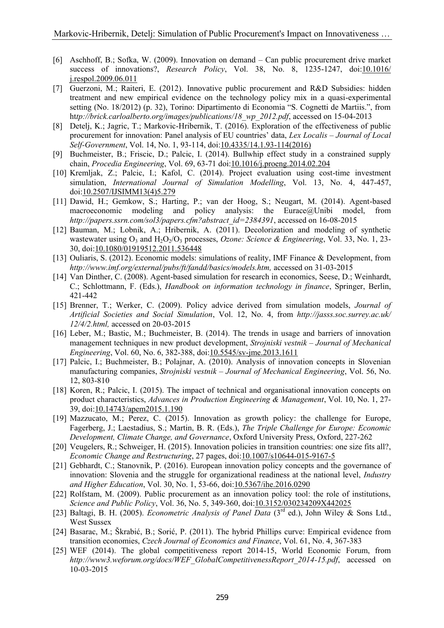- [6] Aschhoff, B.; Sofka, W. (2009). Innovation on demand Can public procurement drive market success of innovations?, *Research Policy*, Vol. 38, No. 8, 1235-1247, doi[:10.1016/](http://dx.doi.org/10.1016/j.respol.2009.06.011)  [j.respol.2009.06.011](http://dx.doi.org/10.1016/j.respol.2009.06.011)
- [7] Guerzoni, M.; Raiteri, E. (2012). Innovative public procurement and R&D Subsidies: hidden treatment and new empirical evidence on the technology policy mix in a quasi-experimental setting (No. 18/2012) (p. 32), Torino: Dipartimento di Economia "S. Cognetti de Martiis.", from ht*tp://brick.carloalberto.org/images/publications/18\_wp\_2012.pdf*, accessed on 15-04-2013
- [8] Detelj, K.; Jagric, T.; Markovic-Hribernik, T. (2016). Exploration of the effectiveness of public procurement for innovation: Panel analysis of EU countries' data, *Lex Localis – Journal of Local Self-Government*, Vol. 14, No. 1, 93-114, doi[:10.4335/14.1.93-114\(2016\)](http://dx.doi.org/10.4335/14.1.93-114(2016))
- [9] Buchmeister, B.; Friscic, D.; Palcic, I. (2014). Bullwhip effect study in a constrained supply chain, *Procedia Engineering*, Vol. 69, 63-71 doi[:10.1016/j.proeng.2014.02.204](http://dx.doi.org/10.1016/j.proeng.2014.02.204)
- [10] Kremljak, Z.; Palcic, I.; Kafol, C. (2014). Project evaluation using cost-time investment simulation, *International Journal of Simulation Modelling*, Vol. 13, No. 4, 447-457, doi[:10.2507/IJSIMM13\(4\)5.279](http://dx.doi.org/10.2507/IJSIMM13(4)5.279)
- [11] Dawid, H.; Gemkow, S.; Harting, P.; van der Hoog, S.; Neugart, M. (2014). Agent-based macroeconomic modeling and policy analysis: the Eurace@Unibi model, from *http://papers.ssrn.com/sol3/papers.cfm?abstract\_id=2384391*, accessed on 16-08-2015
- [12] Bauman, M.; Lobnik, A.; Hribernik, A. (2011). Decolorization and modeling of synthetic wastewater using  $O_3$  and  $H_2O_2/O_3$  processes, *Ozone: Science & Engineering*, Vol. 33, No. 1, 23-30, doi[:10.1080/01919512.2011.536448](http://dx.doi.org/10.1080/01919512.2011.536448)
- [13] Ouliaris, S. (2012). Economic models: simulations of reality, IMF Finance & Development, from *http://www.imf.org/external/pubs/ft/fandd/basics/models.htm,* accessed on 31-03-2015
- [14] Van Dinther, C. (2008). Agent-based simulation for research in economics, Seese, D.; Weinhardt, C.; Schlottmann, F. (Eds.), *Handbook on information technology in finance*, Springer, Berlin, 421-442
- [15] Brenner, T.; Werker, C. (2009). Policy advice derived from simulation models, *Journal of Artificial Societies and Social Simulation*, Vol. 12, No. 4, from *http://jasss.soc.surrey.ac.uk/ 12/4/2.html,* accessed on 20-03-2015
- [16] Leber, M.; Bastic, M.; Buchmeister, B. (2014). The trends in usage and barriers of innovation management techniques in new product development, *Strojniski vestnik – Journal of Mechanical Engineering*, Vol. 60, No. 6, 382-388, doi[:10.5545/sv-jme.2013.1611](http://dx.doi.org/10.5545/sv-jme.2013.1611)
- [17] Palcic, I.; Buchmeister, B.; Polajnar, A. (2010). Analysis of innovation concepts in Slovenian manufacturing companies, *Strojniski vestnik – Journal of Mechanical Engineering*, Vol. 56, No. 12, 803-810
- [18] Koren, R.; Palcic, I. (2015). The impact of technical and organisational innovation concepts on product characteristics, *Advances in Production Engineering & Management*, Vol. 10, No. 1, 27- 39, doi[:10.14743/apem2015.1.190](http://dx.doi.org/10.14743/apem2015.1.190)
- [19] Mazzucato, M.; Perez, C. (2015). Innovation as growth policy: the challenge for Europe, Fagerberg, J.; Laestadius, S.; Martin, B. R. (Eds.), *The Triple Challenge for Europe: Economic Development, Climate Change, and Governance*, Oxford University Press, Oxford, 227-262
- [20] Veugelers, R.; Schweiger, H. (2015). Innovation policies in transition countries: one size fits all?, *Economic Change and Restructuring*, 27 pages, doi[:10.1007/s10644-015-9167-5](http://dx.doi.org/10.1007/s10644-015-9167-5)
- [21] Gebhardt, C.; Stanovnik, P. (2016). European innovation policy concepts and the governance of innovation: Slovenia and the struggle for organizational readiness at the national level, *Industry and Higher Education*, Vol. 30, No. 1, 53-66, doi[:10.5367/ihe.2016.0290](http://dx.doi.org/10.5367/ihe.2016.0290)
- [22] Rolfstam, M. (2009). Public procurement as an innovation policy tool: the role of institutions, *Science and Public Policy*, Vol. 36, No. 5, 349-360, doi[:10.3152/030234209X442025](http://spp.oxfordjournals.org/content/36/5/349.abstract)
- [23] Baltagi, B. H. (2005). *Econometric Analysis of Panel Data* (3rd ed.), John Wiley & Sons Ltd., West Sussex
- [24] Basarac, M.; Škrabić, B.; Sorić, P. (2011). The hybrid Phillips curve: Empirical evidence from transition economies, *Czech Journal of Economics and Finance*, Vol. 61, No. 4, 367-383
- [25] WEF (2014). The global competitiveness report 2014-15, World Economic Forum, from *http://www3.weforum.org/docs/WEF\_GlobalCompetitivenessReport\_2014-15.pdf*, accessed on 10-03-2015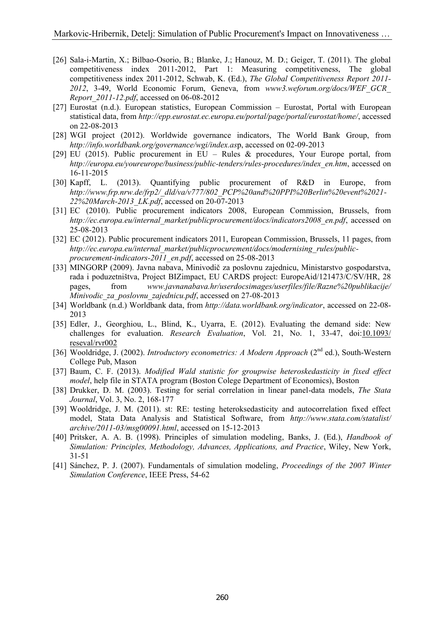- [26] Sala-i-Martin, X.; Bilbao-Osorio, B.; Blanke, J.; Hanouz, M. D.; Geiger, T. (2011). The global competitiveness index 2011-2012, Part 1: Measuring competitiveness, The global competitiveness index 2011-2012, Schwab, K. (Ed.), *The Global Competitiveness Report 2011- 2012*, 3-49, World Economic Forum, Geneva, from *www3.weforum.org/docs/WEF\_GCR\_ Report\_2011-12.pdf*, accessed on 06-08-2012
- [27] Eurostat (n.d.). European statistics, European Commission Eurostat, Portal with European statistical data, from *http://epp.eurostat.ec.europa.eu/portal/page/portal/eurostat/home/*, accessed on 22-08-2013
- [28] WGI project (2012). Worldwide governance indicators, The World Bank Group, from *http://info.worldbank.org/governance/wgi/index.as*p, accessed on 02-09-2013
- [29] EU (2015). Public procurement in EU Rules & procedures, Your Europe portal, from *http://europa.eu/youreurope/business/public-tenders/rules-procedures/index\_en.htm*, accessed on 16-11-2015
- [30] Kapff, L. (2013). Quantifying public procurement of R&D in Europe, from *http://www.frp.nrw.de/frp2/\_dld/va/v777/802\_PCP%20and%20PPI%20Berlin%20event%2021- 22%20March-2013\_LK.pdf*, accessed on 20-07-2013
- [31] EC (2010). Public procurement indicators 2008, European Commission, Brussels, from *http://ec.europa.eu/internal\_market/publicprocurement/docs/indicators2008\_en.pdf*, accessed on 25-08-2013
- [32] EC (2012). Public procurement indicators 2011, European Commission, Brussels, 11 pages, from http://ec.europa.eu/internal\_market/publicprocurement/docs/modernising\_rules/public*procurement-indicators-2011\_en.pdf*, accessed on 25-08-2013
- [33] MINGORP (2009). Javna nabava, Minivodič za poslovnu zajednicu, Ministarstvo gospodarstva, rada i poduzetništva, Project BIZimpact, EU CARDS project: EuropeAid/121473/C/SV/HR, 28 pages, from *www.javnanabava.hr/userdocsimages/userfiles/file/Razne%20publikacije/ Minivodic\_za\_poslovnu\_zajednicu.pdf*, accessed on 27-08-2013
- [34] Worldbank (n.d.) Worldbank data, from *http://data.worldbank.org/indicator*, accessed on 22-08- 2013
- [35] Edler, J., Georghiou, L., Blind, K., Uyarra, E. (2012). Evaluating the demand side: New challenges for evaluation. *Research Evaluation*, Vol. 21, No. 1, 33-47, doi[:10.1093/](http://dx.doi.org/10.1093/reseval/rvr002)  [reseval/rvr002](http://dx.doi.org/10.1093/reseval/rvr002)
- [36] Wooldridge, J. (2002). *Introductory econometrics: A Modern Approach* (2<sup>nd</sup> ed.), South-Western College Pub, Mason
- [37] Baum, C. F. (2013). *Modified Wald statistic for groupwise heteroskedasticity in fixed effect model*, help file in STATA program (Boston Colege Department of Economics), Boston
- [38] Drukker, D. M. (2003). Testing for serial correlation in linear panel-data models, *The Stata Journal*, Vol. 3, No. 2, 168-177
- [39] Wooldridge, J. M. (2011). st: RE: testing heteroksedasticity and autocorrelation fixed effect model, Stata Data Analysis and Statistical Software, from *http://www.stata.com/statalist/ archive/2011-03/msg00091.html*, accessed on 15-12-2013
- [40] Pritsker, A. A. B. (1998). Principles of simulation modeling, Banks, J. (Ed.), *Handbook of Simulation: Principles, Methodology, Advances, Applications, and Practice*, Wiley, New York, 31-51
- [41] Sánchez, P. J. (2007). Fundamentals of simulation modeling, *Proceedings of the 2007 Winter Simulation Conference*, IEEE Press, 54-62